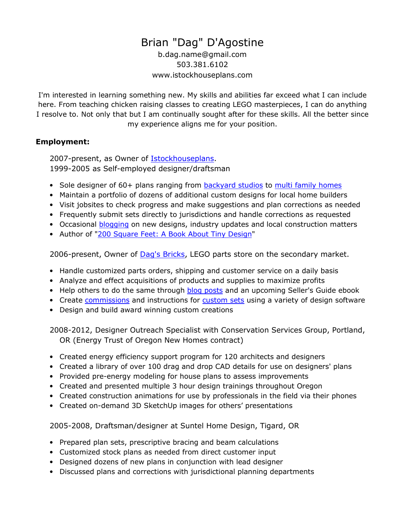# Brian "Dag" D'Agostine

b.dag.name@gmail.com 503.381.6102 www.istockhouseplans.com

I'm interested in learning something new. My skills and abilities far exceed what I can include here. From teaching chicken raising classes to creating LEGO masterpieces, I can do anything I resolve to. Not only that but I am continually sought after for these skills. All the better since my experience aligns me for your position.

## Employment:

2007-present, as Owner of **Istockhouseplans**. 1999-2005 as Self-employed designer/draftsman

- Sole designer of 60+ plans ranging from **backyard studios to multi family homes**
- Maintain a portfolio of dozens of additional custom designs for local home builders
- Visit jobsites to check progress and make suggestions and plan corrections as needed
- Frequently submit sets directly to jurisdictions and handle corrections as requested
- Occasional **blogging** on new designs, industry updates and local construction matters
- Author of "200 Square Feet: A Book About Tiny Design"

2006-present, Owner of Dag's Bricks, LEGO parts store on the secondary market.

- Handle customized parts orders, shipping and customer service on a daily basis
- Analyze and effect acquisitions of products and supplies to maximize profits
- Help others to do the same through blog posts and an upcoming Seller's Guide ebook
- Create commissions and instructions for custom sets using a variety of design software
- Design and build award winning custom creations

2008-2012, Designer Outreach Specialist with Conservation Services Group, Portland, OR (Energy Trust of Oregon New Homes contract)

- Created energy efficiency support program for 120 architects and designers
- Created a library of over 100 drag and drop CAD details for use on designers' plans
- Provided pre-energy modeling for house plans to assess improvements
- Created and presented multiple 3 hour design trainings throughout Oregon
- Created construction animations for use by professionals in the field via their phones
- Created on-demand 3D SketchUp images for others' presentations

2005-2008, Draftsman/designer at Suntel Home Design, Tigard, OR

- Prepared plan sets, prescriptive bracing and beam calculations
- Customized stock plans as needed from direct customer input
- Designed dozens of new plans in conjunction with lead designer
- Discussed plans and corrections with jurisdictional planning departments